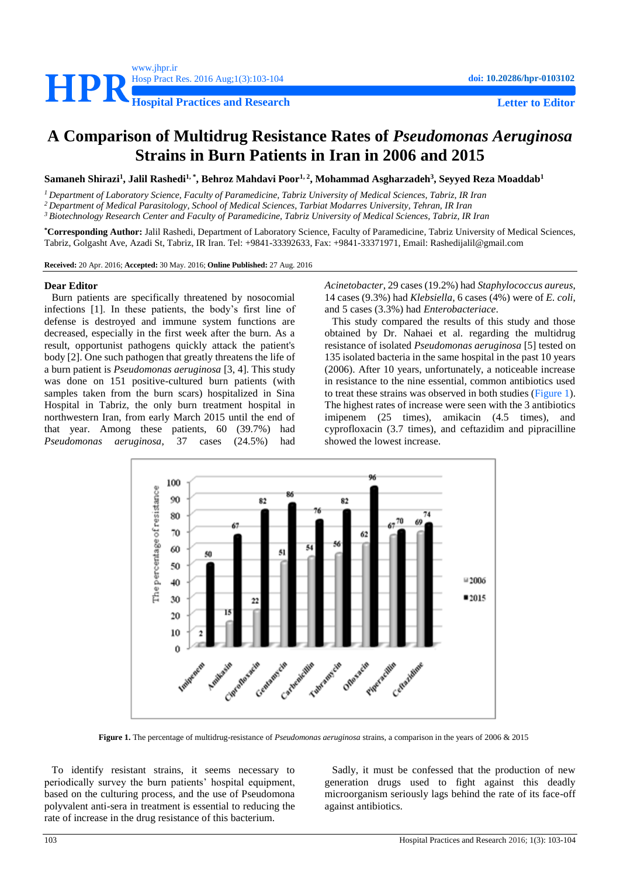

# **A Comparison of Multidrug Resistance Rates of** *Pseudomonas Aeruginosa* **Strains in Burn Patients in Iran in 2006 and 2015**

**Samaneh Shirazi<sup>1</sup> , Jalil Rashedi1, \* , Behroz Mahdavi Poor1, 2 , Mohammad Asgharzadeh<sup>3</sup> , Seyyed Reza Moaddab<sup>1</sup>**

*<sup>1</sup> Department of Laboratory Science, Faculty of Paramedicine, Tabriz University of Medical Sciences, Tabriz, IR Iran*

*<sup>2</sup> Department of Medical Parasitology, School of Medical Sciences, Tarbiat Modarres University, Tehran, IR Iran*

*<sup>3</sup> Biotechnology Research Center and Faculty of Paramedicine, Tabriz University of Medical Sciences, Tabriz, IR Iran*

**\*Corresponding Author:** Jalil Rashedi, Department of Laboratory Science, Faculty of Paramedicine, Tabriz University of Medical Sciences, Tabriz, Golgasht Ave, Azadi St, Tabriz, IR Iran. Tel: +9841-33392633, Fax: +9841-33371971, Email[: Rashedijalil@gmail.com](mailto:Rashedijalil@gmail.com)

**Received:** 20 Apr. 2016; **Accepted:** 30 May. 2016; **Online Published:** 27 Aug. 2016

#### **Dear Editor**

Burn patients are specifically threatened by nosocomial infections [\[1\]](#page-1-0). In these patients, the body's first line of defense is destroyed and immune system functions are decreased, especially in the first week after the burn. As a result, opportunist pathogens quickly attack the patient's body [\[2\]](#page-1-1). One such pathogen that greatly threatens the life of a burn patient is *Pseudomonas aeruginosa* [\[3,](#page-1-2) [4\]](#page-1-3). This study was done on 151 positive-cultured burn patients (with samples taken from the burn scars) hospitalized in Sina Hospital in Tabriz, the only burn treatment hospital in northwestern Iran, from early March 2015 until the end of that year. Among these patients, 60 (39.7%) had *Pseudomonas aeruginosa*, 37 cases (24.5%) had

*Acinetobacter*, 29 cases (19.2%) had *Staphylococcus aureus*, 14 cases (9.3%) had *Klebsiella*, 6 cases (4%) were of *E. coli*, and 5 cases (3.3%) had *Enterobacteriace*.

This study compared the results of this study and those obtained by Dr. Nahaei et al. regarding the multidrug resistance of isolated *Pseudomonas aeruginosa* [\[5\]](#page-1-4) tested on 135 isolated bacteria in the same hospital in the past 10 years (2006). After 10 years, unfortunately, a noticeable increase in resistance to the nine essential, common antibiotics used to treat these strains was observed in both studies [\(Figure 1\)](#page-0-0). The highest rates of increase were seen with the 3 antibiotics imipenem (25 times), amikacin (4.5 times), and cyprofloxacin (3.7 times), and ceftazidim and pipracilline showed the lowest increase.



**Figure 1.** The percentage of multidrug-resistance of *Pseudomonas aeruginosa* strains, a comparison in the years of 2006 & 2015

<span id="page-0-0"></span>To identify resistant strains, it seems necessary to periodically survey the burn patients' hospital equipment, based on the culturing process, and the use of Pseudomona polyvalent anti-sera in treatment is essential to reducing the rate of increase in the drug resistance of this bacterium.

Sadly, it must be confessed that the production of new generation drugs used to fight against this deadly microorganism seriously lags behind the rate of its face-off against antibiotics.